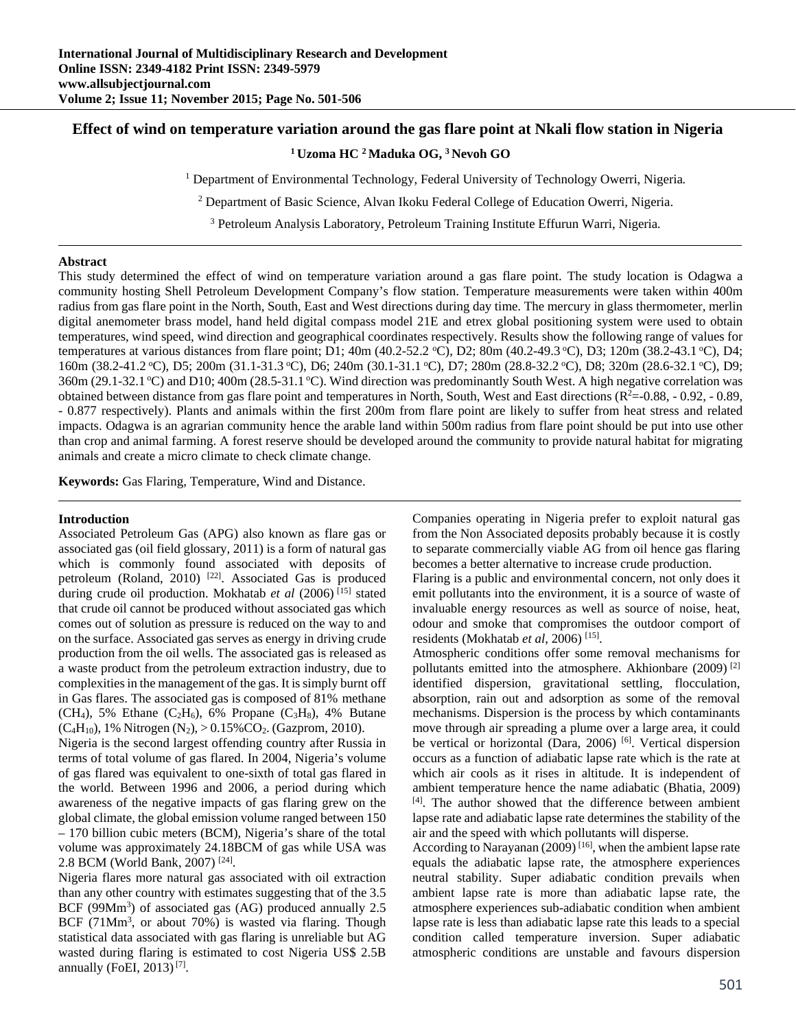# **Effect of wind on temperature variation around the gas flare point at Nkali flow station in Nigeria**

## **1 Uzoma HC 2 Maduka OG, 3 Nevoh GO**

1 Department of Environmental Technology, Federal University of Technology Owerri, Nigeria*.*

<sup>2</sup> Department of Basic Science, Alvan Ikoku Federal College of Education Owerri, Nigeria.

3 Petroleum Analysis Laboratory, Petroleum Training Institute Effurun Warri, Nigeria*.*

### **Abstract**

This study determined the effect of wind on temperature variation around a gas flare point. The study location is Odagwa a community hosting Shell Petroleum Development Company's flow station. Temperature measurements were taken within 400m radius from gas flare point in the North, South, East and West directions during day time. The mercury in glass thermometer, merlin digital anemometer brass model, hand held digital compass model 21E and etrex global positioning system were used to obtain temperatures, wind speed, wind direction and geographical coordinates respectively. Results show the following range of values for temperatures at various distances from flare point; D1; 40m (40.2-52.2 °C), D2; 80m (40.2-49.3 °C), D3; 120m (38.2-43.1 °C), D4; 160m (38.2-41.2 °C), D5; 200m (31.1-31.3 °C), D6; 240m (30.1-31.1 °C), D7; 280m (28.8-32.2 °C), D8; 320m (28.6-32.1 °C), D9;  $360$ m (29.1-32.1 °C) and D10; 400m (28.5-31.1 °C). Wind direction was predominantly South West. A high negative correlation was obtained between distance from gas flare point and temperatures in North, South, West and East directions  $(R<sup>2</sup>=-0.88, -0.92, -0.89,$ - 0.877 respectively). Plants and animals within the first 200m from flare point are likely to suffer from heat stress and related impacts. Odagwa is an agrarian community hence the arable land within 500m radius from flare point should be put into use other than crop and animal farming. A forest reserve should be developed around the community to provide natural habitat for migrating animals and create a micro climate to check climate change.

**Keywords:** Gas Flaring, Temperature, Wind and Distance.

## **Introduction**

Associated Petroleum Gas (APG) also known as flare gas or associated gas (oil field glossary, 2011) is a form of natural gas which is commonly found associated with deposits of petroleum (Roland, 2010)<sup>[22]</sup>. Associated Gas is produced during crude oil production. Mokhatab *et al* (2006)<sup>[15]</sup> stated that crude oil cannot be produced without associated gas which comes out of solution as pressure is reduced on the way to and on the surface. Associated gas serves as energy in driving crude production from the oil wells. The associated gas is released as a waste product from the petroleum extraction industry, due to complexities in the management of the gas. It is simply burnt off in Gas flares. The associated gas is composed of 81% methane (CH<sub>4</sub>), 5% Ethane (C<sub>2</sub>H<sub>6</sub>), 6% Propane (C<sub>3</sub>H<sub>8</sub>), 4% Butane  $(C_4H_{10})$ , 1% Nitrogen  $(N_2)$ , > 0.15%CO<sub>2</sub>. (Gazprom, 2010).

Nigeria is the second largest offending country after Russia in terms of total volume of gas flared. In 2004, Nigeria's volume of gas flared was equivalent to one-sixth of total gas flared in the world. Between 1996 and 2006, a period during which awareness of the negative impacts of gas flaring grew on the global climate, the global emission volume ranged between 150 – 170 billion cubic meters (BCM), Nigeria's share of the total volume was approximately 24.18BCM of gas while USA was 2.8 BCM (World Bank, 2007) [24].

Nigeria flares more natural gas associated with oil extraction than any other country with estimates suggesting that of the 3.5 BCF (99Mm<sup>3</sup>) of associated gas (AG) produced annually 2.5 BCF  $(71Mm<sup>3</sup>$ , or about 70%) is wasted via flaring. Though statistical data associated with gas flaring is unreliable but AG wasted during flaring is estimated to cost Nigeria US\$ 2.5B annually (FoEI,  $2013$ )<sup>[7]</sup>.

Companies operating in Nigeria prefer to exploit natural gas from the Non Associated deposits probably because it is costly to separate commercially viable AG from oil hence gas flaring becomes a better alternative to increase crude production.

Flaring is a public and environmental concern, not only does it emit pollutants into the environment, it is a source of waste of invaluable energy resources as well as source of noise, heat, odour and smoke that compromises the outdoor comport of residents (Mokhatab *et al*, 2006) [15].

Atmospheric conditions offer some removal mechanisms for pollutants emitted into the atmosphere. Akhionbare (2009)<sup>[2]</sup> identified dispersion, gravitational settling, flocculation, absorption, rain out and adsorption as some of the removal mechanisms. Dispersion is the process by which contaminants move through air spreading a plume over a large area, it could be vertical or horizontal (Dara, 2006)<sup>[6]</sup>. Vertical dispersion occurs as a function of adiabatic lapse rate which is the rate at which air cools as it rises in altitude. It is independent of ambient temperature hence the name adiabatic (Bhatia, 2009) [4]. The author showed that the difference between ambient lapse rate and adiabatic lapse rate determines the stability of the air and the speed with which pollutants will disperse.

According to Narayanan  $(2009)^{[16]}$ , when the ambient lapse rate equals the adiabatic lapse rate, the atmosphere experiences neutral stability. Super adiabatic condition prevails when ambient lapse rate is more than adiabatic lapse rate, the atmosphere experiences sub-adiabatic condition when ambient lapse rate is less than adiabatic lapse rate this leads to a special condition called temperature inversion. Super adiabatic atmospheric conditions are unstable and favours dispersion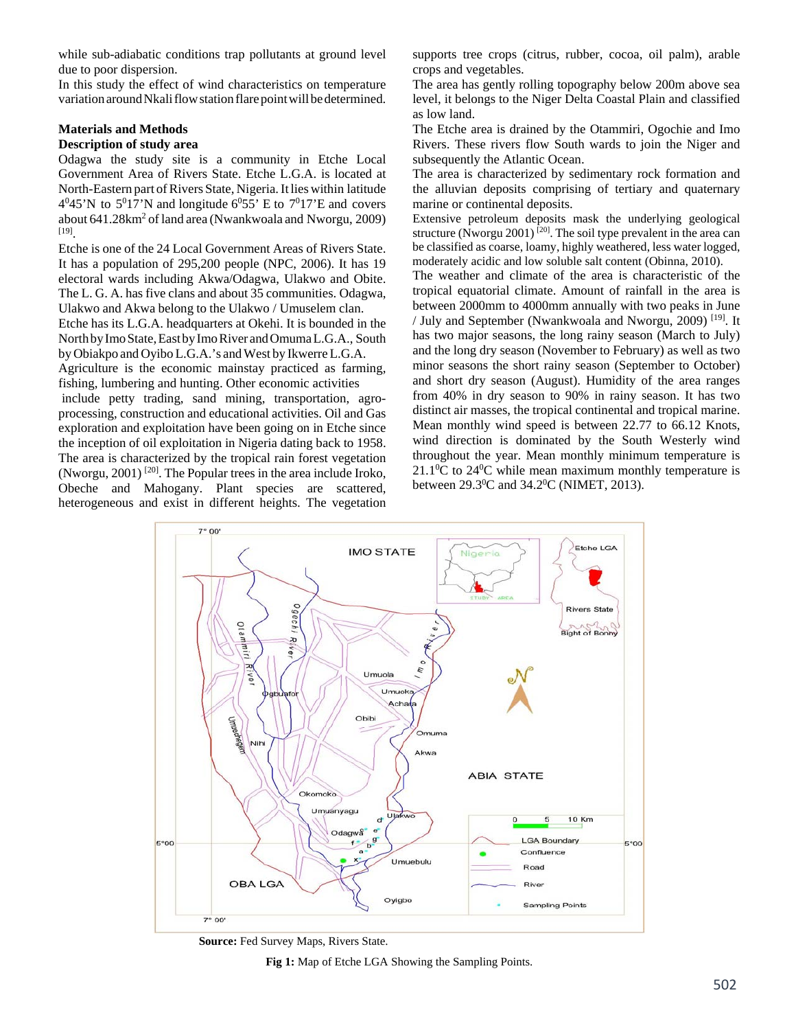while sub-adiabatic conditions trap pollutants at ground level due to poor dispersion.

In this study the effect of wind characteristics on temperature variation around Nkali flow station flare point will be determined.

### **Materials and Methods Description of study area**

Odagwa the study site is a community in Etche Local Government Area of Rivers State. Etche L.G.A. is located at North-Eastern part of Rivers State, Nigeria. It lies within latitude  $4^045$ 'N to  $5^017$ 'N and longitude  $6^055$ ' E to  $7^017$ 'E and covers about  $641.28 \text{km}^2$  of land area (Nwankwoala and Nworgu, 2009) [19].

Etche is one of the 24 Local Government Areas of Rivers State. It has a population of 295,200 people (NPC, 2006). It has 19 electoral wards including Akwa/Odagwa, Ulakwo and Obite. The L. G. A. has five clans and about 35 communities. Odagwa, Ulakwo and Akwa belong to the Ulakwo / Umuselem clan.

Etche has its L.G.A. headquarters at Okehi. It is bounded in the NorthbyImoState,EastbyImoRiver andOmumaL.G.A., South by Obiakpo and Oyibo L.G.A.'s and West by Ikwerre L.G.A.

Agriculture is the economic mainstay practiced as farming, fishing, lumbering and hunting. Other economic activities

 include petty trading, sand mining, transportation, agroprocessing, construction and educational activities. Oil and Gas exploration and exploitation have been going on in Etche since the inception of oil exploitation in Nigeria dating back to 1958. The area is characterized by the tropical rain forest vegetation (Nworgu,  $2001$ )<sup>[20]</sup>. The Popular trees in the area include Iroko, Obeche and Mahogany. Plant species are scattered, heterogeneous and exist in different heights. The vegetation

supports tree crops (citrus, rubber, cocoa, oil palm), arable crops and vegetables.

The area has gently rolling topography below 200m above sea level, it belongs to the Niger Delta Coastal Plain and classified as low land.

The Etche area is drained by the Otammiri, Ogochie and Imo Rivers. These rivers flow South wards to join the Niger and subsequently the Atlantic Ocean.

The area is characterized by sedimentary rock formation and the alluvian deposits comprising of tertiary and quaternary marine or continental deposits.

Extensive petroleum deposits mask the underlying geological structure (Nworgu 2001)<sup>[20]</sup>. The soil type prevalent in the area can be classified as coarse, loamy, highly weathered, less water logged, moderately acidic and low soluble salt content (Obinna, 2010).

The weather and climate of the area is characteristic of the tropical equatorial climate. Amount of rainfall in the area is between 2000mm to 4000mm annually with two peaks in June / July and September (Nwankwoala and Nworgu, 2009) [19]. It has two major seasons, the long rainy season (March to July) and the long dry season (November to February) as well as two minor seasons the short rainy season (September to October) and short dry season (August). Humidity of the area ranges from 40% in dry season to 90% in rainy season. It has two distinct air masses, the tropical continental and tropical marine. Mean monthly wind speed is between 22.77 to 66.12 Knots, wind direction is dominated by the South Westerly wind throughout the year. Mean monthly minimum temperature is  $21.1\degree$ C to  $24\degree$ C while mean maximum monthly temperature is between  $29.3^{\circ}$ C and  $34.2^{\circ}$ C (NIMET, 2013).



**Source:** Fed Survey Maps, Rivers State.

**Fig 1:** Map of Etche LGA Showing the Sampling Points.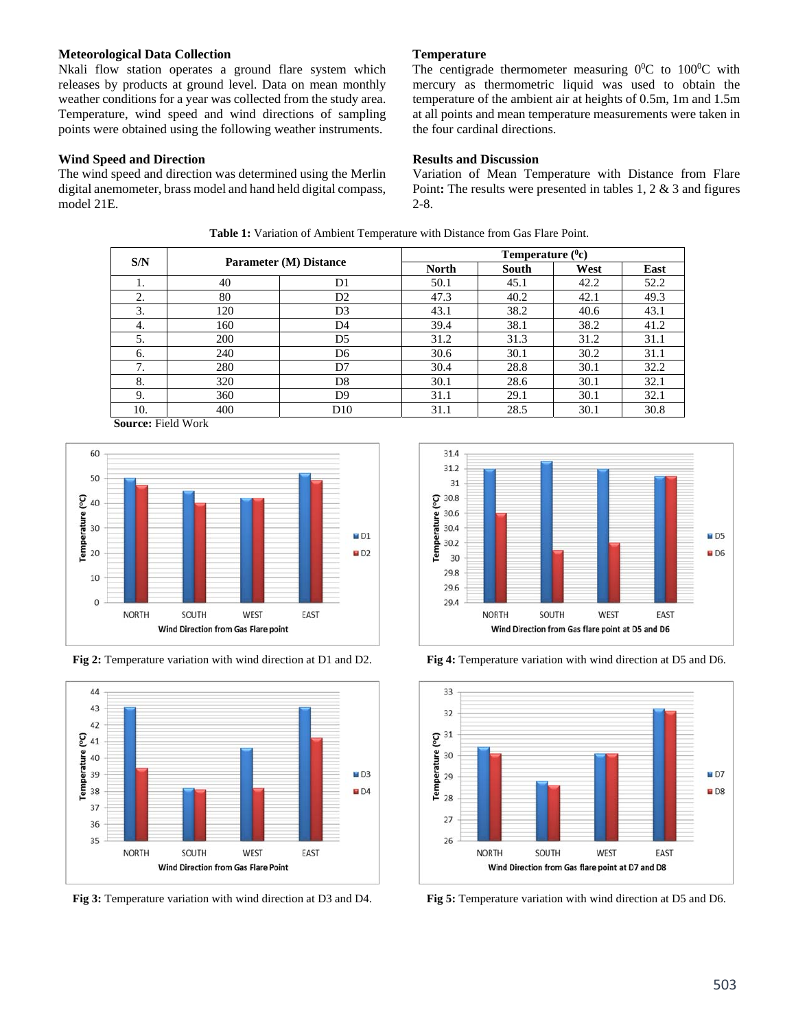## **Meteorological Data Collection**

Nkali flow station operates a ground flare system which releases by products at ground level. Data on mean monthly weather conditions for a year was collected from the study area. Temperature, wind speed and wind directions of sampling points were obtained using the following weather instruments.

## **Wind Speed and Direction**

The wind speed and direction was determined using the Merlin digital anemometer, brass model and hand held digital compass, model 21E.

**Temperature** 

The centigrade thermometer measuring  $0^0C$  to  $100^0C$  with mercury as thermometric liquid was used to obtain the temperature of the ambient air at heights of 0.5m, 1m and 1.5m at all points and mean temperature measurements were taken in the four cardinal directions.

## **Results and Discussion**

Variation of Mean Temperature with Distance from Flare Point**:** The results were presented in tables 1, 2 & 3 and figures 2-8.

| S/N | <b>Parameter (M) Distance</b> |                | Temperature $(^0c)$ |       |      |      |
|-----|-------------------------------|----------------|---------------------|-------|------|------|
|     |                               |                | <b>North</b>        | South | West | East |
| 1.  | 40                            | D <sub>1</sub> | 50.1                | 45.1  | 42.2 | 52.2 |
| 2.  | 80                            | D <sub>2</sub> | 47.3                | 40.2  | 42.1 | 49.3 |
| 3.  | 120                           | D <sub>3</sub> | 43.1                | 38.2  | 40.6 | 43.1 |
| 4.  | 160                           | D <sub>4</sub> | 39.4                | 38.1  | 38.2 | 41.2 |
| 5.  | 200                           | D <sub>5</sub> | 31.2                | 31.3  | 31.2 | 31.1 |
| 6.  | 240                           | D6             | 30.6                | 30.1  | 30.2 | 31.1 |
| 7.  | 280                           | D7             | 30.4                | 28.8  | 30.1 | 32.2 |
| 8.  | 320                           | D8             | 30.1                | 28.6  | 30.1 | 32.1 |
| 9.  | 360                           | D9             | 31.1                | 29.1  | 30.1 | 32.1 |
| 10. | 400                           | D10            | 31.1                | 28.5  | 30.1 | 30.8 |

**Table 1:** Variation of Ambient Temperature with Distance from Gas Flare Point.

**Source:** Field Work



**Fig 2:** Temperature variation with wind direction at D1 and D2.



**Fig 3:** Temperature variation with wind direction at D3 and D4.





**Fig 4:** Temperature variation with wind direction at D5 and D6.

**Fig 5:** Temperature variation with wind direction at D5 and D6.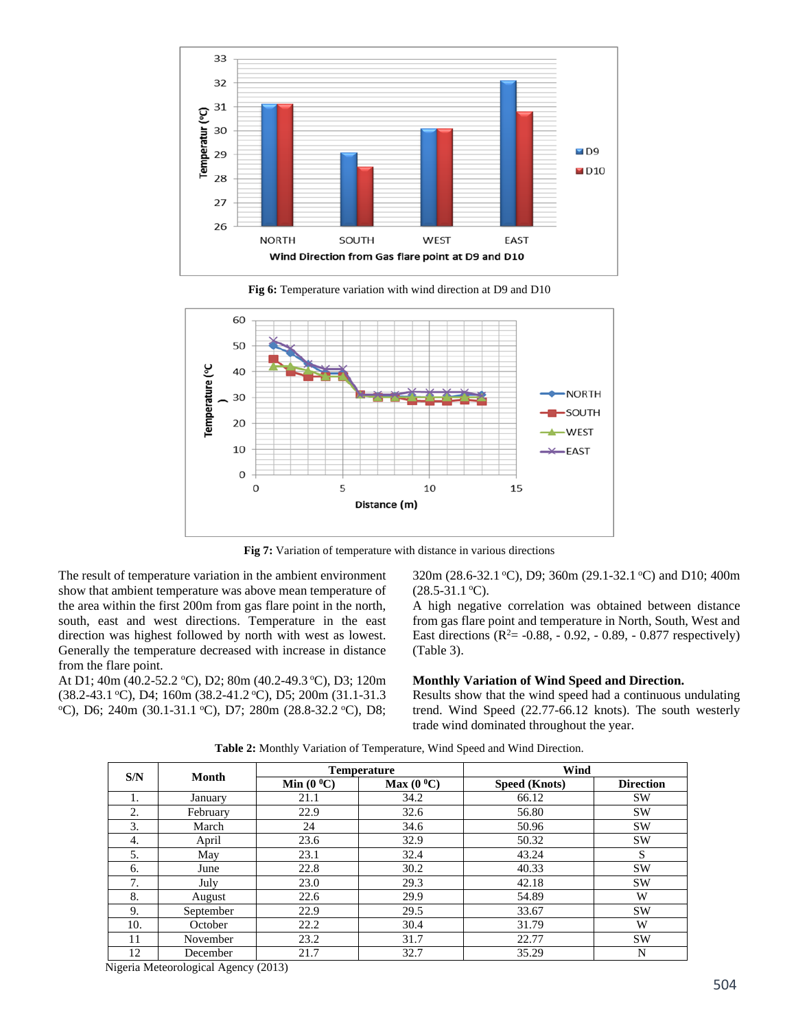

**Fig 6:** Temperature variation with wind direction at D9 and D10



**Fig 7:** Variation of temperature with distance in various directions

The result of temperature variation in the ambient environment show that ambient temperature was above mean temperature of the area within the first 200m from gas flare point in the north, south, east and west directions. Temperature in the east direction was highest followed by north with west as lowest. Generally the temperature decreased with increase in distance from the flare point.

At D1; 40m (40.2-52.2 °C), D2; 80m (40.2-49.3 °C), D3; 120m (38.2-43.1 °C), D4; 160m (38.2-41.2 °C), D5; 200m (31.1-31.3 <sup>o</sup>C), D6; 240m (30.1-31.1 <sup>o</sup>C), D7; 280m (28.8-32.2 <sup>o</sup>C), D8;

320m (28.6-32.1 °C), D9; 360m (29.1-32.1 °C) and D10; 400m  $(28.5-31.1 \degree C)$ .

A high negative correlation was obtained between distance from gas flare point and temperature in North, South, West and East directions ( $R^2$  = -0.88, - 0.92, - 0.89, - 0.877 respectively) (Table 3).

#### **Monthly Variation of Wind Speed and Direction.**

Results show that the wind speed had a continuous undulating trend. Wind Speed (22.77-66.12 knots). The south westerly trade wind dominated throughout the year.

| S/N | Month     | <b>Temperature</b> |                      | Wind          |                  |
|-----|-----------|--------------------|----------------------|---------------|------------------|
|     |           | Min $(0^0C)$       | Max $(0\text{ }^0C)$ | Speed (Knots) | <b>Direction</b> |
| 1.  | January   | 21.1               | 34.2                 | 66.12         | <b>SW</b>        |
| 2.  | February  | 22.9               | 32.6                 | 56.80         | <b>SW</b>        |
| 3.  | March     | 24                 | 34.6                 | 50.96         | <b>SW</b>        |
| 4.  | April     | 23.6               | 32.9                 | 50.32         | <b>SW</b>        |
| 5.  | May       | 23.1               | 32.4                 | 43.24         | S                |
| 6.  | June      | 22.8               | 30.2                 | 40.33         | <b>SW</b>        |
| 7.  | July      | 23.0               | 29.3                 | 42.18         | <b>SW</b>        |
| 8.  | August    | 22.6               | 29.9                 | 54.89         | W                |
| 9.  | September | 22.9               | 29.5                 | 33.67         | <b>SW</b>        |
| 10. | October   | 22.2               | 30.4                 | 31.79         | W                |
| 11  | November  | 23.2               | 31.7                 | 22.77         | <b>SW</b>        |
| 12  | December  | 21.7               | 32.7                 | 35.29         | N                |

**Table 2:** Monthly Variation of Temperature, Wind Speed and Wind Direction.

Nigeria Meteorological Agency (2013)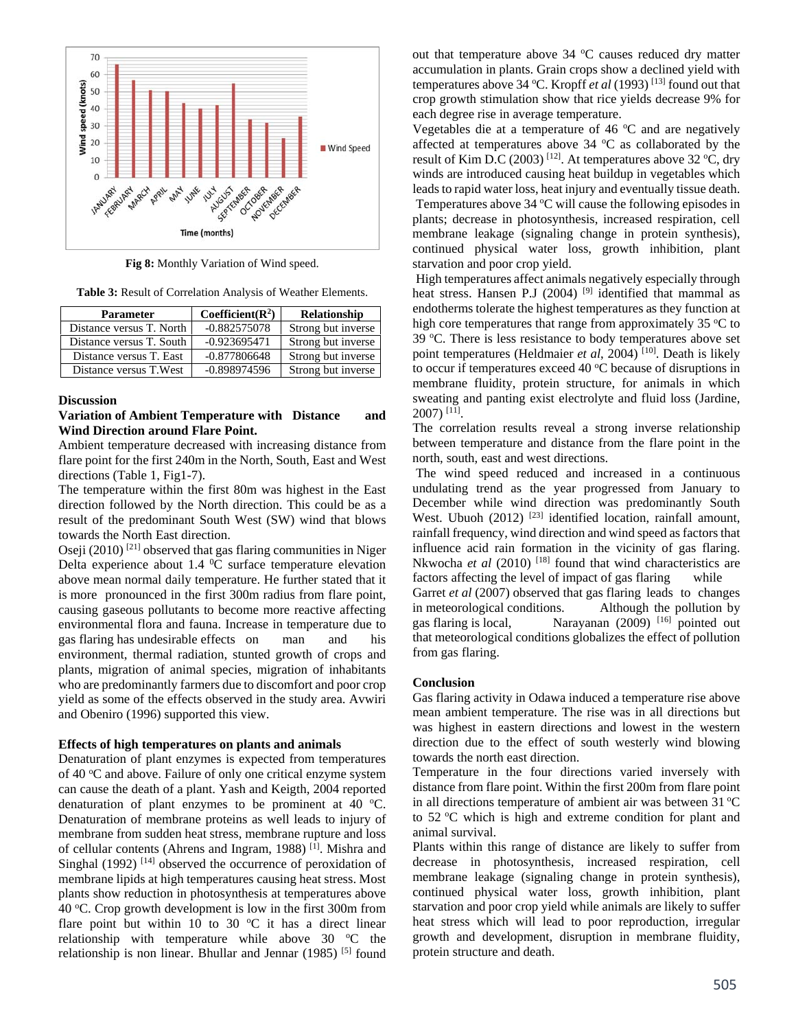

**Fig 8:** Monthly Variation of Wind speed.

**Table 3:** Result of Correlation Analysis of Weather Elements.

| <b>Parameter</b>         | Coefficient( $\mathbb{R}^2$ ) | Relationship       |
|--------------------------|-------------------------------|--------------------|
| Distance versus T. North | $-0.882575078$                | Strong but inverse |
| Distance versus T. South | $-0.923695471$                | Strong but inverse |
| Distance versus T. East  | $-0.877806648$                | Strong but inverse |
| Distance versus T. West  | $-0.898974596$                | Strong but inverse |

#### **Discussion**

## **Variation of Ambient Temperature with Distance and Wind Direction around Flare Point.**

Ambient temperature decreased with increasing distance from flare point for the first 240m in the North, South, East and West directions (Table 1, Fig1-7).

The temperature within the first 80m was highest in the East direction followed by the North direction. This could be as a result of the predominant South West (SW) wind that blows towards the North East direction.

Oseji (2010) [21] observed that gas flaring communities in Niger Delta experience about 1.4  $^0C$  surface temperature elevation above mean normal daily temperature. He further stated that it is more pronounced in the first 300m radius from flare point, causing gaseous pollutants to become more reactive affecting environmental flora and fauna. Increase in temperature due to gas flaring has undesirable effects on man and his environment, thermal radiation, stunted growth of crops and plants, migration of animal species, migration of inhabitants who are predominantly farmers due to discomfort and poor crop yield as some of the effects observed in the study area. Avwiri and Obeniro (1996) supported this view.

#### **Effects of high temperatures on plants and animals**

Denaturation of plant enzymes is expected from temperatures of 40 °C and above. Failure of only one critical enzyme system can cause the death of a plant. Yash and Keigth, 2004 reported denaturation of plant enzymes to be prominent at 40  $^{\circ}$ C. Denaturation of membrane proteins as well leads to injury of membrane from sudden heat stress, membrane rupture and loss of cellular contents (Ahrens and Ingram, 1988) [1]. Mishra and Singhal (1992)<sup>[14]</sup> observed the occurrence of peroxidation of membrane lipids at high temperatures causing heat stress. Most plants show reduction in photosynthesis at temperatures above 40 °C. Crop growth development is low in the first 300m from flare point but within 10 to 30  $\degree$ C it has a direct linear relationship with temperature while above  $30^{\circ}$ C the relationship is non linear. Bhullar and Jennar  $(1985)$ <sup>[5]</sup> found

out that temperature above  $34$  °C causes reduced dry matter accumulation in plants. Grain crops show a declined yield with temperatures above 34 °C. Kropff *et al* (1993)<sup>[13]</sup> found out that crop growth stimulation show that rice yields decrease 9% for each degree rise in average temperature.

Vegetables die at a temperature of 46  $\mathrm{^{\circ}C}$  and are negatively affected at temperatures above  $34$  °C as collaborated by the result of Kim D.C (2003) <sup>[12]</sup>. At temperatures above 32 °C, dry winds are introduced causing heat buildup in vegetables which leads to rapid water loss, heat injury and eventually tissue death. Temperatures above  $34^{\circ}$ C will cause the following episodes in plants; decrease in photosynthesis, increased respiration, cell membrane leakage (signaling change in protein synthesis), continued physical water loss, growth inhibition, plant starvation and poor crop yield.

 High temperatures affect animals negatively especially through heat stress. Hansen P.J (2004)<sup>[9]</sup> identified that mammal as endotherms tolerate the highest temperatures as they function at high core temperatures that range from approximately  $35^{\circ}$ C to 39 °C. There is less resistance to body temperatures above set point temperatures (Heldmaier *et al*, 2004)<sup>[10]</sup>. Death is likely to occur if temperatures exceed 40  $\mathrm{^{\circ}C}$  because of disruptions in membrane fluidity, protein structure, for animals in which sweating and panting exist electrolyte and fluid loss (Jardine, 2007) [11].

The correlation results reveal a strong inverse relationship between temperature and distance from the flare point in the north, south, east and west directions.

 The wind speed reduced and increased in a continuous undulating trend as the year progressed from January to December while wind direction was predominantly South West. Ubuoh (2012) <sup>[23]</sup> identified location, rainfall amount, rainfall frequency, wind direction and wind speed as factors that influence acid rain formation in the vicinity of gas flaring. Nkwocha *et al* (2010)<sup>[18]</sup> found that wind characteristics are factors affecting the level of impact of gas flaring while Garret *et al* (2007) observed that gas flaring leads to changes in meteorological conditions. Although the pollution by gas flaring is local, Narayanan (2009) <sup>[16]</sup> pointed out that meteorological conditions globalizes the effect of pollution from gas flaring.

#### **Conclusion**

Gas flaring activity in Odawa induced a temperature rise above mean ambient temperature. The rise was in all directions but was highest in eastern directions and lowest in the western direction due to the effect of south westerly wind blowing towards the north east direction.

Temperature in the four directions varied inversely with distance from flare point. Within the first 200m from flare point in all directions temperature of ambient air was between  $31^{\circ}$ C to  $52 \degree C$  which is high and extreme condition for plant and animal survival.

Plants within this range of distance are likely to suffer from decrease in photosynthesis, increased respiration, cell membrane leakage (signaling change in protein synthesis), continued physical water loss, growth inhibition, plant starvation and poor crop yield while animals are likely to suffer heat stress which will lead to poor reproduction, irregular growth and development, disruption in membrane fluidity, protein structure and death.